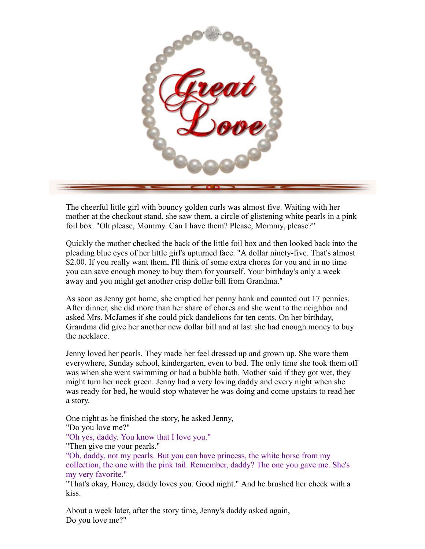

The cheerful little girl with bouncy golden curls was almost five. Waiting with her mother at the checkout stand, she saw them, a circle of glistening white pearls in a pink foil box. "Oh please, Mommy. Can I have them? Please, Mommy, please?"

Quickly the mother checked the back of the little foil box and then looked back into the pleading blue eyes of her little girl's upturned face. "A dollar ninety-five. That's almost \$2.00. If you really want them, I'll think of some extra chores for you and in no time you can save enough money to buy them for yourself. Your birthday's only a week away and you might get another crisp dollar bill from Grandma."

As soon as Jenny got home, she emptied her penny bank and counted out 17 pennies. After dinner, she did more than her share of chores and she went to the neighbor and asked Mrs. McJames if she could pick dandelions for ten cents. On her birthday, Grandma did give her another new dollar bill and at last she had enough money to buy the necklace.

Jenny loved her pearls. They made her feel dressed up and grown up. She wore them everywhere, Sunday school, kindergarten, even to bed. The only time she took them off was when she went swimming or had a bubble bath. Mother said if they got wet, they might turn her neck green. Jenny had a very loving daddy and every night when she was ready for bed, he would stop whatever he was doing and come upstairs to read her a story.

One night as he finished the story, he asked Jenny, "Do you love me?" "Oh yes, daddy. You know that I love you." "Then give me your pearls." "Oh, daddy, not my pearls. But you can have princess, the white horse from my collection, the one with the pink tail. Remember, daddy? The one you gave me. She's my very favorite." "That's okay, Honey, daddy loves you. Good night." And he brushed her cheek with a kiss.

About a week later, after the story time, Jenny's daddy asked again, Do you love me?"